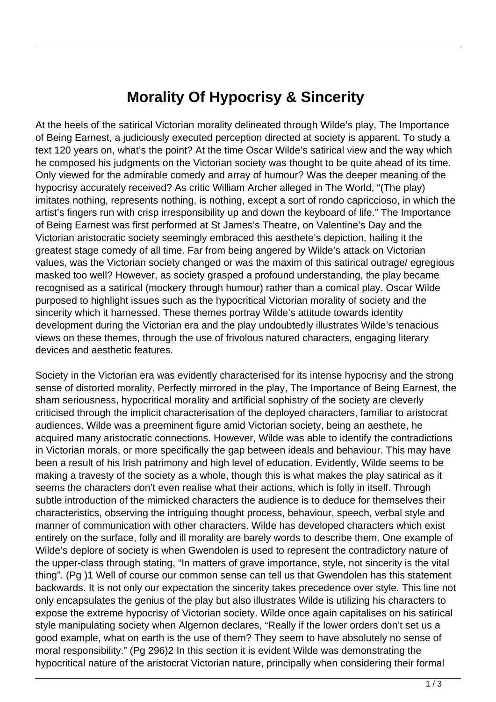## **Morality Of Hypocrisy & Sincerity**

At the heels of the satirical Victorian morality delineated through Wilde's play, The Importance of Being Earnest, a judiciously executed perception directed at society is apparent. To study a text 120 years on, what's the point? At the time Oscar Wilde's satirical view and the way which he composed his judgments on the Victorian society was thought to be quite ahead of its time. Only viewed for the admirable comedy and array of humour? Was the deeper meaning of the hypocrisy accurately received? As critic William Archer alleged in The World, "(The play) imitates nothing, represents nothing, is nothing, except a sort of rondo capriccioso, in which the artist's fingers run with crisp irresponsibility up and down the keyboard of life." The Importance of Being Earnest was first performed at St James's Theatre, on Valentine's Day and the Victorian aristocratic society seemingly embraced this aesthete's depiction, hailing it the greatest stage comedy of all time. Far from being angered by Wilde's attack on Victorian values, was the Victorian society changed or was the maxim of this satirical outrage/ egregious masked too well? However, as society grasped a profound understanding, the play became recognised as a satirical (mockery through humour) rather than a comical play. Oscar Wilde purposed to highlight issues such as the hypocritical Victorian morality of society and the sincerity which it harnessed. These themes portray Wilde's attitude towards identity development during the Victorian era and the play undoubtedly illustrates Wilde's tenacious views on these themes, through the use of frivolous natured characters, engaging literary devices and aesthetic features.

Society in the Victorian era was evidently characterised for its intense hypocrisy and the strong sense of distorted morality. Perfectly mirrored in the play, The Importance of Being Earnest, the sham seriousness, hypocritical morality and artificial sophistry of the society are cleverly criticised through the implicit characterisation of the deployed characters, familiar to aristocrat audiences. Wilde was a preeminent figure amid Victorian society, being an aesthete, he acquired many aristocratic connections. However, Wilde was able to identify the contradictions in Victorian morals, or more specifically the gap between ideals and behaviour. This may have been a result of his Irish patrimony and high level of education. Evidently, Wilde seems to be making a travesty of the society as a whole, though this is what makes the play satirical as it seems the characters don't even realise what their actions, which is folly in itself. Through subtle introduction of the mimicked characters the audience is to deduce for themselves their characteristics, observing the intriguing thought process, behaviour, speech, verbal style and manner of communication with other characters. Wilde has developed characters which exist entirely on the surface, folly and ill morality are barely words to describe them. One example of Wilde's deplore of society is when Gwendolen is used to represent the contradictory nature of the upper-class through stating, "In matters of grave importance, style, not sincerity is the vital thing". (Pg )1 Well of course our common sense can tell us that Gwendolen has this statement backwards. It is not only our expectation the sincerity takes precedence over style. This line not only encapsulates the genius of the play but also illustrates Wilde is utilizing his characters to expose the extreme hypocrisy of Victorian society. Wilde once again capitalises on his satirical style manipulating society when Algernon declares, "Really if the lower orders don't set us a good example, what on earth is the use of them? They seem to have absolutely no sense of moral responsibility." (Pg 296)2 In this section it is evident Wilde was demonstrating the hypocritical nature of the aristocrat Victorian nature, principally when considering their formal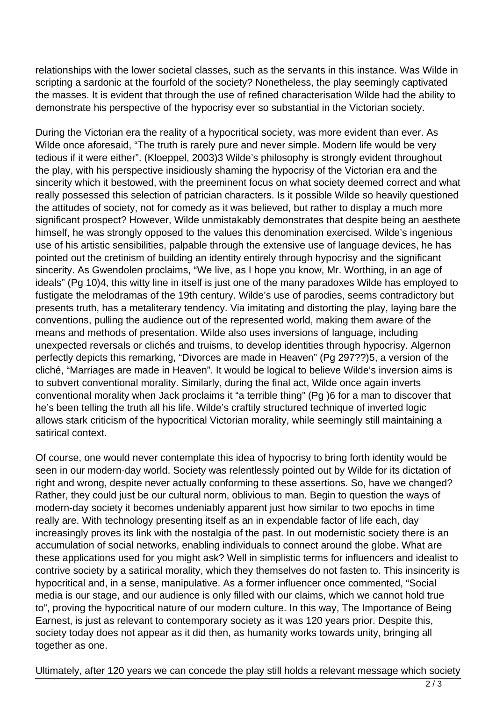relationships with the lower societal classes, such as the servants in this instance. Was Wilde in scripting a sardonic at the fourfold of the society? Nonetheless, the play seemingly captivated the masses. It is evident that through the use of refined characterisation Wilde had the ability to demonstrate his perspective of the hypocrisy ever so substantial in the Victorian society.

During the Victorian era the reality of a hypocritical society, was more evident than ever. As Wilde once aforesaid, "The truth is rarely pure and never simple. Modern life would be very tedious if it were either". (Kloeppel, 2003)3 Wilde's philosophy is strongly evident throughout the play, with his perspective insidiously shaming the hypocrisy of the Victorian era and the sincerity which it bestowed, with the preeminent focus on what society deemed correct and what really possessed this selection of patrician characters. Is it possible Wilde so heavily questioned the attitudes of society, not for comedy as it was believed, but rather to display a much more significant prospect? However, Wilde unmistakably demonstrates that despite being an aesthete himself, he was strongly opposed to the values this denomination exercised. Wilde's ingenious use of his artistic sensibilities, palpable through the extensive use of language devices, he has pointed out the cretinism of building an identity entirely through hypocrisy and the significant sincerity. As Gwendolen proclaims, "We live, as I hope you know, Mr. Worthing, in an age of ideals" (Pg 10)4, this witty line in itself is just one of the many paradoxes Wilde has employed to fustigate the melodramas of the 19th century. Wilde's use of parodies, seems contradictory but presents truth, has a metaliterary tendency. Via imitating and distorting the play, laying bare the conventions, pulling the audience out of the represented world, making them aware of the means and methods of presentation. Wilde also uses inversions of language, including unexpected reversals or clichés and truisms, to develop identities through hypocrisy. Algernon perfectly depicts this remarking, "Divorces are made in Heaven" (Pg 297??)5, a version of the cliché, "Marriages are made in Heaven". It would be logical to believe Wilde's inversion aims is to subvert conventional morality. Similarly, during the final act, Wilde once again inverts conventional morality when Jack proclaims it "a terrible thing" (Pg )6 for a man to discover that he's been telling the truth all his life. Wilde's craftily structured technique of inverted logic allows stark criticism of the hypocritical Victorian morality, while seemingly still maintaining a satirical context.

Of course, one would never contemplate this idea of hypocrisy to bring forth identity would be seen in our modern-day world. Society was relentlessly pointed out by Wilde for its dictation of right and wrong, despite never actually conforming to these assertions. So, have we changed? Rather, they could just be our cultural norm, oblivious to man. Begin to question the ways of modern-day society it becomes undeniably apparent just how similar to two epochs in time really are. With technology presenting itself as an in expendable factor of life each, day increasingly proves its link with the nostalgia of the past. In out modernistic society there is an accumulation of social networks, enabling individuals to connect around the globe. What are these applications used for you might ask? Well in simplistic terms for influencers and idealist to contrive society by a satirical morality, which they themselves do not fasten to. This insincerity is hypocritical and, in a sense, manipulative. As a former influencer once commented, "Social media is our stage, and our audience is only filled with our claims, which we cannot hold true to", proving the hypocritical nature of our modern culture. In this way, The Importance of Being Earnest, is just as relevant to contemporary society as it was 120 years prior. Despite this, society today does not appear as it did then, as humanity works towards unity, bringing all together as one.

Ultimately, after 120 years we can concede the play still holds a relevant message which society